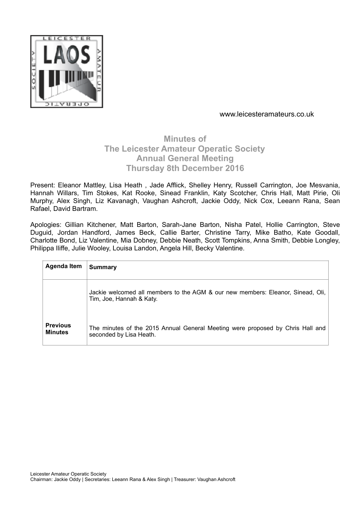

# **Minutes of The Leicester Amateur Operatic Society Annual General Meeting Thursday 8th December 2016**

Present: Eleanor Mattley, Lisa Heath , Jade Afflick, Shelley Henry, Russell Carrington, Joe Mesvania, Hannah Willars, Tim Stokes, Kat Rooke, Sinead Franklin, Katy Scotcher, Chris Hall, Matt Pirie, Oli Murphy, Alex Singh, Liz Kavanagh, Vaughan Ashcroft, Jackie Oddy, Nick Cox, Leeann Rana, Sean Rafael, David Bartram.

Apologies: Gillian Kitchener, Matt Barton, Sarah-Jane Barton, Nisha Patel, Hollie Carrington, Steve Duguid, Jordan Handford, James Beck, Callie Barter, Christine Tarry, Mike Batho, Kate Goodall, Charlotte Bond, Liz Valentine, Mia Dobney, Debbie Neath, Scott Tompkins, Anna Smith, Debbie Longley, Philippa Iliffe, Julie Wooley, Louisa Landon, Angela Hill, Becky Valentine.

| <b>Agenda Item</b>                | <b>Summary</b>                                                                                                |
|-----------------------------------|---------------------------------------------------------------------------------------------------------------|
|                                   | Jackie welcomed all members to the AGM & our new members: Eleanor, Sinead, Oli,  <br>Tim, Joe, Hannah & Katy. |
| <b>Previous</b><br><b>Minutes</b> | The minutes of the 2015 Annual General Meeting were proposed by Chris Hall and<br>seconded by Lisa Heath.     |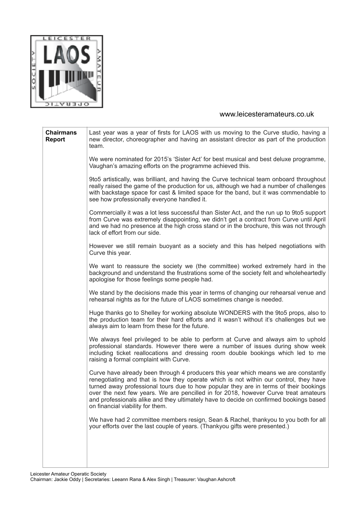

| <b>Chairmans</b><br><b>Report</b> | Last year was a year of firsts for LAOS with us moving to the Curve studio, having a<br>new director, choreographer and having an assistant director as part of the production<br>team.                                                                                                                                                                                                                                                                                                    |
|-----------------------------------|--------------------------------------------------------------------------------------------------------------------------------------------------------------------------------------------------------------------------------------------------------------------------------------------------------------------------------------------------------------------------------------------------------------------------------------------------------------------------------------------|
|                                   | We were nominated for 2015's 'Sister Act' for best musical and best deluxe programme,<br>Vaughan's amazing efforts on the programme achieved this.                                                                                                                                                                                                                                                                                                                                         |
|                                   | 9to5 artistically, was brilliant, and having the Curve technical team onboard throughout<br>really raised the game of the production for us, although we had a number of challenges<br>with backstage space for cast & limited space for the band, but it was commendable to<br>see how professionally everyone handled it.                                                                                                                                                                |
|                                   | Commercially it was a lot less successful than Sister Act, and the run up to 9to5 support<br>from Curve was extremely disappointing, we didn't get a contract from Curve until April<br>and we had no presence at the high cross stand or in the brochure, this was not through<br>lack of effort from our side.                                                                                                                                                                           |
|                                   | However we still remain buoyant as a society and this has helped negotiations with<br>Curve this year.                                                                                                                                                                                                                                                                                                                                                                                     |
|                                   | We want to reassure the society we (the committee) worked extremely hard in the<br>background and understand the frustrations some of the society felt and wholeheartedly<br>apologise for those feelings some people had.                                                                                                                                                                                                                                                                 |
|                                   | We stand by the decisions made this year in terms of changing our rehearsal venue and<br>rehearsal nights as for the future of LAOS sometimes change is needed.                                                                                                                                                                                                                                                                                                                            |
|                                   | Huge thanks go to Shelley for working absolute WONDERS with the 9to5 props, also to<br>the production team for their hard efforts and it wasn't without it's challenges but we<br>always aim to learn from these for the future.                                                                                                                                                                                                                                                           |
|                                   | We always feel privileged to be able to perform at Curve and always aim to uphold<br>professional standards. However there were a number of issues during show week<br>including ticket reallocations and dressing room double bookings which led to me<br>raising a formal complaint with Curve.                                                                                                                                                                                          |
|                                   | Curve have already been through 4 producers this year which means we are constantly<br>renegotiating and that is how they operate which is not within our control, they have<br>turned away professional tours due to how popular they are in terms of their bookings<br>over the next few years. We are pencilled in for 2018, however Curve treat amateurs<br>and professionals alike and they ultimately have to decide on confirmed bookings based<br>on financial viability for them. |
|                                   | We have had 2 committee members resign, Sean & Rachel, thankyou to you both for all<br>your efforts over the last couple of years. (Thankyou gifts were presented.)                                                                                                                                                                                                                                                                                                                        |
|                                   |                                                                                                                                                                                                                                                                                                                                                                                                                                                                                            |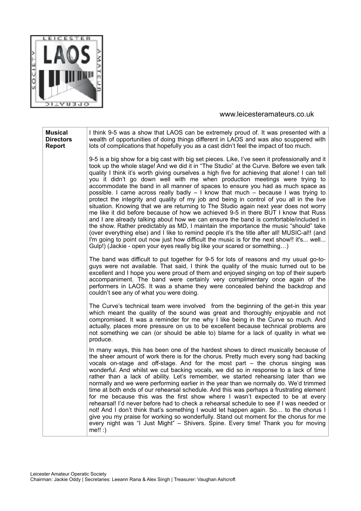

| <b>Musical</b><br><b>Directors</b><br><b>Report</b> | I think 9-5 was a show that LAOS can be extremely proud of. It was presented with a<br>wealth of opportunities of doing things different in LAOS and was also scuppered with<br>lots of complications that hopefully you as a cast didn't feel the impact of too much.                                                                                                                                                                                                                                                                                                                                                                                                                                                                                                                                                                                                                                                                                                                                                                                                                                                                                                                                                                                                                   |
|-----------------------------------------------------|------------------------------------------------------------------------------------------------------------------------------------------------------------------------------------------------------------------------------------------------------------------------------------------------------------------------------------------------------------------------------------------------------------------------------------------------------------------------------------------------------------------------------------------------------------------------------------------------------------------------------------------------------------------------------------------------------------------------------------------------------------------------------------------------------------------------------------------------------------------------------------------------------------------------------------------------------------------------------------------------------------------------------------------------------------------------------------------------------------------------------------------------------------------------------------------------------------------------------------------------------------------------------------------|
|                                                     | 9-5 is a big show for a big cast with big set pieces. Like, I've seen it professionally and it<br>took up the whole stage! And we did it in "The Studio" at the Curve. Before we even talk<br>quality I think it's worth giving ourselves a high five for achieving that alone! I can tell<br>you it didn't go down well with me when production meetings were trying to<br>accommodate the band in all manner of spaces to ensure you had as much space as<br>possible. I came across really badly $-1$ know that much $-$ because I was trying to<br>protect the integrity and quality of my job and being in control of you all in the live<br>situation. Knowing that we are returning to The Studio again next year does not worry<br>me like it did before because of how we achieved 9-5 in there BUT I know that Russ<br>and I are already talking about how we can ensure the band is comfortable/included in<br>the show. Rather predictably as MD, I maintain the importance the music "should" take<br>(over everything else) and I like to remind people it's the title after all! MUSIC-al!! (and<br>I'm going to point out now just how difficult the music is for the next show!! it's well<br>Gulp!) (Jackie - open your eyes really big like your scared or something) |
|                                                     | The band was difficult to put together for 9-5 for lots of reasons and my usual go-to-<br>guys were not available. That said, I think the quality of the music turned out to be<br>excellent and I hope you were proud of them and enjoyed singing on top of their superb<br>accompaniment. The band were certainly very complimentary once again of the<br>performers in LAOS. It was a shame they were concealed behind the backdrop and<br>couldn't see any of what you were doing.                                                                                                                                                                                                                                                                                                                                                                                                                                                                                                                                                                                                                                                                                                                                                                                                   |
|                                                     | The Curve's technical team were involved from the beginning of the get-in this year<br>which meant the quality of the sound was great and thoroughly enjoyable and not<br>compromised. It was a reminder for me why I like being in the Curve so much. And<br>actually, places more pressure on us to be excellent because technical problems are<br>not something we can (or should be able to) blame for a lack of quality in what we<br>produce.                                                                                                                                                                                                                                                                                                                                                                                                                                                                                                                                                                                                                                                                                                                                                                                                                                      |
|                                                     | In many ways, this has been one of the hardest shows to direct musically because of<br>the sheer amount of work there is for the chorus. Pretty much every song had backing<br>vocals on-stage and off-stage. And for the most part - the chorus singing was<br>wonderful. And whilst we cut backing vocals, we did so in response to a lack of time<br>rather than a lack of ability. Let's remember, we started rehearsing later than we<br>normally and we were performing earlier in the year than we normally do. We'd trimmed<br>time at both ends of our rehearsal schedule. And this was perhaps a frustrating element<br>for me because this was the first show where I wasn't expected to be at every<br>rehearsal! I'd never before had to check a rehearsal schedule to see if I was needed or<br>not! And I don't think that's something I would let happen again. So to the chorus I<br>give you my praise for working so wonderfully. Stand out moment for the chorus for me<br>every night was "I Just Might" - Shivers. Spine. Every time! Thank you for moving<br>$me!!$ :)                                                                                                                                                                                            |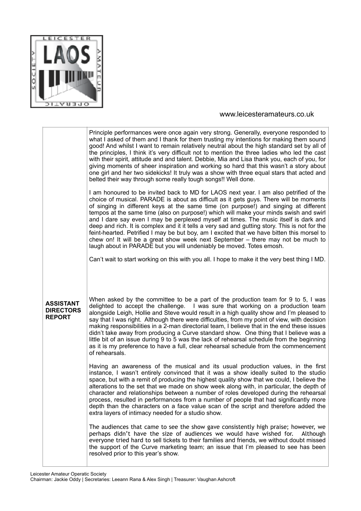

|                                                       | Principle performances were once again very strong. Generally, everyone responded to<br>what I asked of them and I thank for them trusting my intentions for making them sound<br>good! And whilst I want to remain relatively neutral about the high standard set by all of<br>the principles, I think it's very difficult not to mention the three ladies who led the cast<br>with their spirit, attitude and and talent. Debbie, Mia and Lisa thank you, each of you, for<br>giving moments of sheer inspiration and working so hard that this wasn't a story about<br>one girl and her two sidekicks! It truly was a show with three equal stars that acted and<br>belted their way through some really tough songs!! Well done.                                                                                |
|-------------------------------------------------------|---------------------------------------------------------------------------------------------------------------------------------------------------------------------------------------------------------------------------------------------------------------------------------------------------------------------------------------------------------------------------------------------------------------------------------------------------------------------------------------------------------------------------------------------------------------------------------------------------------------------------------------------------------------------------------------------------------------------------------------------------------------------------------------------------------------------|
|                                                       | I am honoured to be invited back to MD for LAOS next year. I am also petrified of the<br>choice of musical. PARADE is about as difficult as it gets guys. There will be moments<br>of singing in different keys at the same time (on purpose!) and singing at different<br>tempos at the same time (also on purpose!) which will make your minds swish and swirl<br>and I dare say even I may be perplexed myself at times. The music itself is dark and<br>deep and rich. It is complex and it it tells a very sad and gutting story. This is not for the<br>feint-hearted. Petrified I may be but boy, am I excited that we have bitten this morsel to<br>chew on! It will be a great show week next September – there may not be much to<br>laugh about in PARADE but you will undeniably be moved. Totes emosh. |
|                                                       | Can't wait to start working on this with you all. I hope to make it the very best thing I MD.                                                                                                                                                                                                                                                                                                                                                                                                                                                                                                                                                                                                                                                                                                                       |
| <b>ASSISTANT</b><br><b>DIRECTORS</b><br><b>REPORT</b> | When asked by the committee to be a part of the production team for 9 to 5, I was<br>delighted to accept the challenge. I was sure that working on a production team<br>alongside Leigh, Hollie and Steve would result in a high quality show and I'm pleased to<br>say that I was right. Although there were difficulties, from my point of view, with decision<br>making responsibilities in a 2-man directorial team, I believe that in the end these issues<br>didn't take away from producing a Curve standard show. One thing that I believe was a<br>little bit of an issue during 9 to 5 was the lack of rehearsal schedule from the beginning<br>as it is my preference to have a full, clear rehearsal schedule from the commencement<br>of rehearsals.                                                   |
|                                                       | Having an awareness of the musical and its usual production values, in the first<br>instance, I wasn't entirely convinced that it was a show ideally suited to the studio<br>space, but with a remit of producing the highest quality show that we could, I believe the<br>alterations to the set that we made on show week along with, in particular, the depth of<br>character and relationships between a number of roles developed during the rehearsal<br>process, resulted in performances from a number of people that had significantly more<br>depth than the characters on a face value scan of the script and therefore added the<br>extra layers of intimacy needed for a studio show.                                                                                                                  |
|                                                       |                                                                                                                                                                                                                                                                                                                                                                                                                                                                                                                                                                                                                                                                                                                                                                                                                     |
|                                                       | The audiences that came to see the show gave consistently high praise; however, we<br>perhaps didn't have the size of audiences we would have wished for.<br>Although<br>everyone tried hard to sell tickets to their families and friends, we without doubt missed<br>the support of the Curve marketing team; an issue that I'm pleased to see has been<br>resolved prior to this year's show.                                                                                                                                                                                                                                                                                                                                                                                                                    |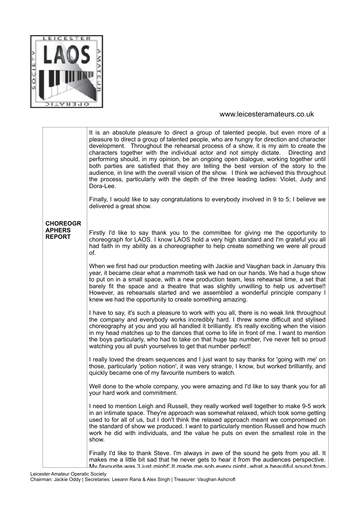

|                                | It is an absolute pleasure to direct a group of talented people, but even more of a<br>pleasure to direct a group of talented people, who are hungry for direction and character<br>development. Throughout the rehearsal process of a show, it is my aim to create the<br>characters together with the individual actor and not simply dictate. Directing and<br>performing should, in my opinion, be an ongoing open dialogue, working together until<br>both parties are satisfied that they are telling the best version of the story to the<br>audience, in line with the overall vision of the show. I think we achieved this throughout<br>the process, particularly with the depth of the three leading ladies: Violet, Judy and<br>Dora-Lee. |
|--------------------------------|-------------------------------------------------------------------------------------------------------------------------------------------------------------------------------------------------------------------------------------------------------------------------------------------------------------------------------------------------------------------------------------------------------------------------------------------------------------------------------------------------------------------------------------------------------------------------------------------------------------------------------------------------------------------------------------------------------------------------------------------------------|
|                                | Finally, I would like to say congratulations to everybody involved in 9 to 5; I believe we<br>delivered a great show.                                                                                                                                                                                                                                                                                                                                                                                                                                                                                                                                                                                                                                 |
| <b>CHOREOGR</b>                |                                                                                                                                                                                                                                                                                                                                                                                                                                                                                                                                                                                                                                                                                                                                                       |
| <b>APHERS</b><br><b>REPORT</b> | Firstly I'd like to say thank you to the committee for giving me the opportunity to<br>choreograph for LAOS. I know LAOS hold a very high standard and I'm grateful you all<br>had faith in my ability as a choreographer to help create something we were all proud<br>of.                                                                                                                                                                                                                                                                                                                                                                                                                                                                           |
|                                | When we first had our production meeting with Jackie and Vaughan back in January this<br>year, it became clear what a mammoth task we had on our hands. We had a huge show<br>to put on in a small space, with a new production team, less rehearsal time, a set that<br>barely fit the space and a theatre that was slightly unwilling to help us advertise!!<br>However, as rehearsals started and we assembled a wonderful principle company I<br>knew we had the opportunity to create something amazing.                                                                                                                                                                                                                                         |
|                                | I have to say, it's such a pleasure to work with you all, there is no weak link throughout<br>the company and everybody works incredibly hard. I threw some difficult and stylised<br>choreography at you and you all handled it brilliantly. It's really exciting when the vision<br>in my head matches up to the dances that come to life in front of me. I want to mention<br>the boys particularly, who had to take on that huge tap number, I've never felt so proud<br>watching you all push yourselves to get that number perfect!                                                                                                                                                                                                             |
|                                | I really loved the dream sequences and I just want to say thanks for 'going with me' on<br>those, particularly 'potion notion', it was very strange, I know, but worked brilliantly, and<br>quickly became one of my favourite numbers to watch.                                                                                                                                                                                                                                                                                                                                                                                                                                                                                                      |
|                                | Well done to the whole company, you were amazing and I'd like to say thank you for all<br>your hard work and commitment.                                                                                                                                                                                                                                                                                                                                                                                                                                                                                                                                                                                                                              |
|                                | I need to mention Leigh and Russell, they really worked well together to make 9-5 work<br>in an intimate space. They're approach was somewhat relaxed, which took some getting<br>used to for all of us, but I don't think the relaxed approach meant we compromised on<br>the standard of show we produced. I want to particularly mention Russell and how much<br>work he did with individuals, and the value he puts on even the smallest role in the<br>show.                                                                                                                                                                                                                                                                                     |
|                                | Finally I'd like to thank Steve. I'm always in awe of the sound he gets from you all. It<br>makes me a little bit sad that he never gets to hear it from the audiences perspective.<br>My favourite was 'I just might' It made me sob every night what a beautiful sound from                                                                                                                                                                                                                                                                                                                                                                                                                                                                         |

Leicester Amateur Operatic Society Chairman: Jackie Oddy | Secretaries: Leeann Rana & Alex Singh | Treasurer: Vaughan Ashcroft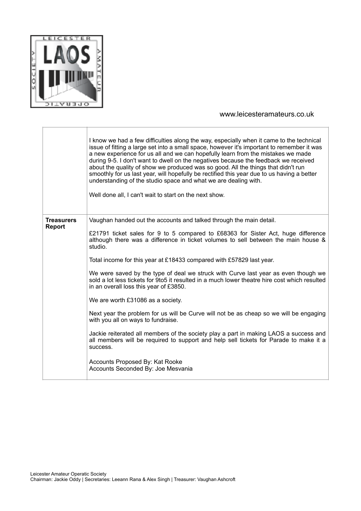

|                                    | I know we had a few difficulties along the way, especially when it came to the technical<br>issue of fitting a large set into a small space, however it's important to remember it was<br>a new experience for us all and we can hopefully learn from the mistakes we made<br>during 9-5. I don't want to dwell on the negatives because the feedback we received<br>about the quality of show we produced was so good. All the things that didn't run<br>smoothly for us last year, will hopefully be rectified this year due to us having a better<br>understanding of the studio space and what we are dealing with.<br>Well done all, I can't wait to start on the next show.                                                                                                                                                                                                                                                                                                                              |
|------------------------------------|----------------------------------------------------------------------------------------------------------------------------------------------------------------------------------------------------------------------------------------------------------------------------------------------------------------------------------------------------------------------------------------------------------------------------------------------------------------------------------------------------------------------------------------------------------------------------------------------------------------------------------------------------------------------------------------------------------------------------------------------------------------------------------------------------------------------------------------------------------------------------------------------------------------------------------------------------------------------------------------------------------------|
| <b>Treasurers</b><br><b>Report</b> | Vaughan handed out the accounts and talked through the main detail.<br>£21791 ticket sales for 9 to 5 compared to £68363 for Sister Act, huge difference<br>although there was a difference in ticket volumes to sell between the main house &<br>studio.<br>Total income for this year at £18433 compared with £57829 last year.<br>We were saved by the type of deal we struck with Curve last year as even though we<br>sold a lot less tickets for 9to5 it resulted in a much lower theatre hire cost which resulted<br>in an overall loss this year of £3850.<br>We are worth £31086 as a society.<br>Next year the problem for us will be Curve will not be as cheap so we will be engaging<br>with you all on ways to fundraise.<br>Jackie reiterated all members of the society play a part in making LAOS a success and<br>all members will be required to support and help sell tickets for Parade to make it a<br>success.<br>Accounts Proposed By: Kat Rooke<br>Accounts Seconded By: Joe Mesvania |